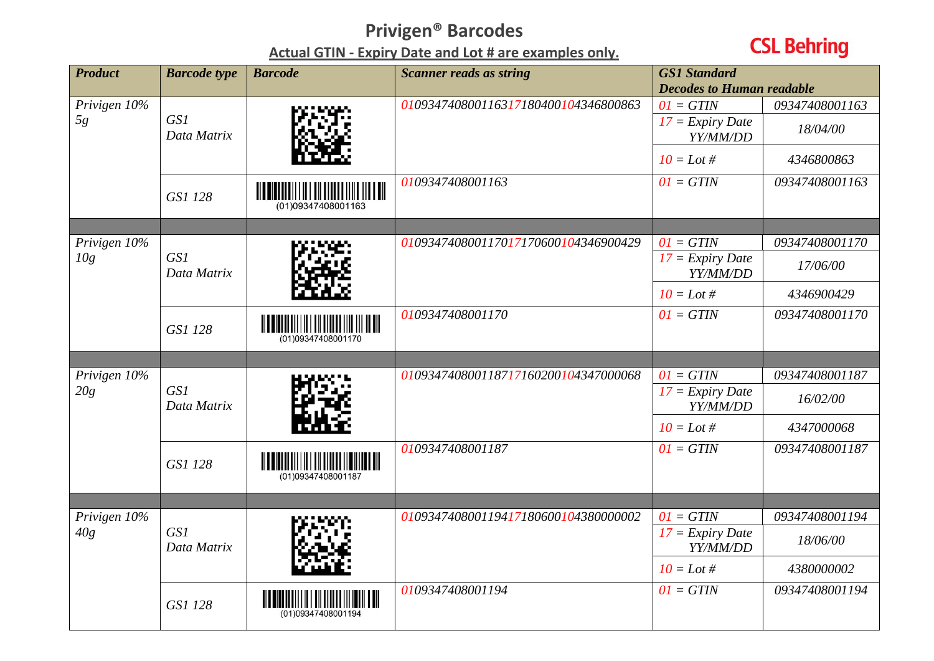## **Privigen® Barcodes**

**Actual GTIN - Expiry Date and Lot # are examples only.**

## **CSL Behring**

| <b>Product</b>      | <b>Barcode</b> type | <b>Barcode</b>     | <b>Scanner reads as string</b>       | <b>GS1 Standard</b><br><b>Decodes to Human readable</b> |                            |
|---------------------|---------------------|--------------------|--------------------------------------|---------------------------------------------------------|----------------------------|
| Privigen 10%<br>5g  | GS1<br>Data Matrix  |                    | 010934740800116317180400104346800863 | $01 = GTIN$<br>$17 =$ Expiry Date<br>YY/MM/DD           | 09347408001163<br>18/04/00 |
|                     |                     |                    |                                      | $10 =$ Lot #                                            | 4346800863                 |
|                     | GS1 128             | (01)09347408001163 | 0109347408001163                     | $01 = GTIN$                                             | 09347408001163             |
|                     |                     |                    |                                      |                                                         |                            |
| Privigen 10%<br>10g | GS1<br>Data Matrix  |                    | 010934740800117017170600104346900429 | $01 = GTIN$<br>$17 =$ Expiry Date<br>YY/MM/DD           | 09347408001170<br>17/06/00 |
|                     |                     |                    |                                      | $10 =$ Lot #                                            | 4346900429                 |
|                     | GS1 128             | (01)09347408001170 | 0109347408001170                     | $0I = GTIN$                                             | 09347408001170             |
|                     |                     |                    |                                      |                                                         |                            |
| Privigen 10%<br>20g | GS1<br>Data Matrix  |                    | 010934740800118717160200104347000068 | $01 = GTIN$                                             | 09347408001187             |
|                     |                     |                    |                                      | $17 =$ Expiry Date<br>YY/MM/DD                          | 16/02/00                   |
|                     |                     |                    |                                      | $10 =$ Lot #                                            | 4347000068                 |
|                     | GS1 128             | (01)09347408001187 | 0109347408001187                     | $01 = GTIN$                                             | 09347408001187             |
|                     |                     |                    |                                      |                                                         |                            |
| Privigen 10%<br>40g |                     |                    | 010934740800119417180600104380000002 | $01 = GTIN$                                             | 09347408001194             |
|                     | GS1<br>Data Matrix  |                    |                                      | $17 =$ Expiry Date<br>YY/MM/DD                          | 18/06/00                   |
|                     |                     |                    |                                      | $10 =$ Lot #                                            | 4380000002                 |
|                     | GS1 128             | (01)09347408001194 | 0109347408001194                     | $0I = GTIN$                                             | 09347408001194             |